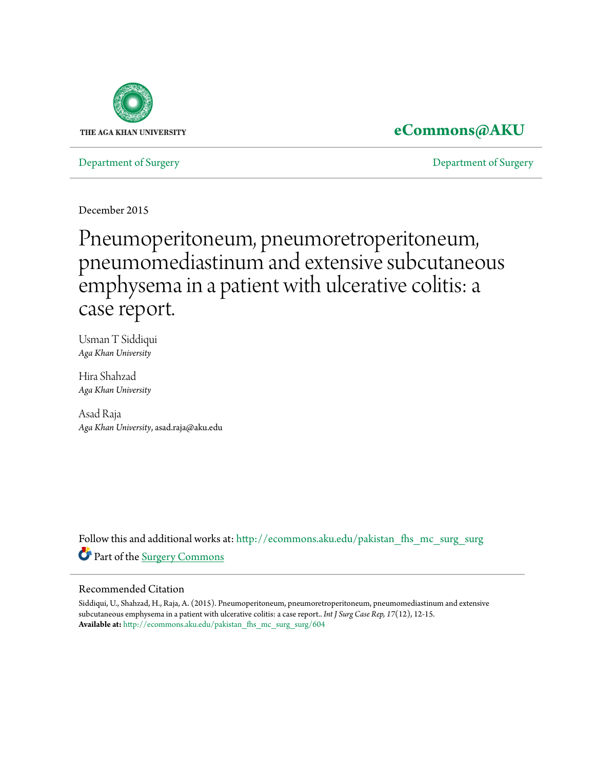

## **[eCommons@AKU](http://ecommons.aku.edu?utm_source=ecommons.aku.edu%2Fpakistan_fhs_mc_surg_surg%2F604&utm_medium=PDF&utm_campaign=PDFCoverPages)**

[Department of Surgery](http://ecommons.aku.edu/pakistan_fhs_mc_surg_surg?utm_source=ecommons.aku.edu%2Fpakistan_fhs_mc_surg_surg%2F604&utm_medium=PDF&utm_campaign=PDFCoverPages) [Department of Surgery](http://ecommons.aku.edu/pakistan_fhs_mc_surg?utm_source=ecommons.aku.edu%2Fpakistan_fhs_mc_surg_surg%2F604&utm_medium=PDF&utm_campaign=PDFCoverPages)

December 2015

# Pneumoperitoneum, pneumoretroperitoneum, pneumomediastinum and extensive subcutaneous emphysema in a patient with ulcerative colitis: a case report.

Usman T Siddiqui *Aga Khan University*

Hira Shahzad *Aga Khan University*

Asad Raja *Aga Khan University*, asad.raja@aku.edu

Follow this and additional works at: [http://ecommons.aku.edu/pakistan\\_fhs\\_mc\\_surg\\_surg](http://ecommons.aku.edu/pakistan_fhs_mc_surg_surg?utm_source=ecommons.aku.edu%2Fpakistan_fhs_mc_surg_surg%2F604&utm_medium=PDF&utm_campaign=PDFCoverPages) Part of the [Surgery Commons](http://network.bepress.com/hgg/discipline/706?utm_source=ecommons.aku.edu%2Fpakistan_fhs_mc_surg_surg%2F604&utm_medium=PDF&utm_campaign=PDFCoverPages)

### Recommended Citation

Siddiqui, U., Shahzad, H., Raja, A. (2015). Pneumoperitoneum, pneumoretroperitoneum, pneumomediastinum and extensive subcutaneous emphysema in a patient with ulcerative colitis: a case report.. *Int J Surg Case Rep, 17*(12), 12-15. **Available at:** [http://ecommons.aku.edu/pakistan\\_fhs\\_mc\\_surg\\_surg/604](http://ecommons.aku.edu/pakistan_fhs_mc_surg_surg/604)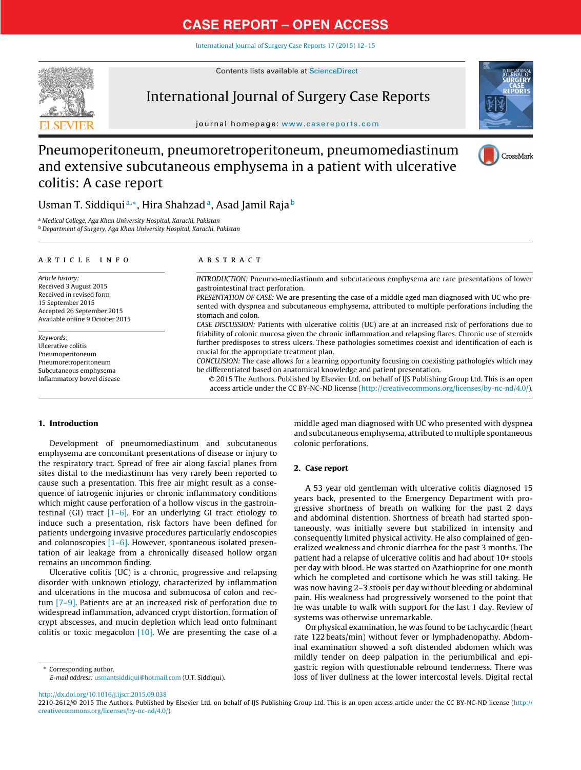[International](dx.doi.org/10.1016/j.ijscr.2015.09.038) Journal of Surgery Case Reports 17 (2015) 12–15



### Contents lists available at [ScienceDirect](http://www.sciencedirect.com/science/journal/22102612)

### International Journal of Surgery Case Reports



journal homepage: [www.casereports.com](http://www.casereports.com)

### Pneumoperitoneum, pneumoretroperitoneum, pneumomediastinum and extensive subcutaneous emphysema in a patient with ulcerative colitis: A case report



### Usman T. Siddiqui<sup>a,∗</sup>, Hira Shahzad<sup>a</sup>, Asad Jamil Raja<sup>b</sup>

<sup>a</sup> Medical College, Aga Khan University Hospital, Karachi, Pakistan <sup>b</sup> Department of Surgery, Aga Khan University Hospital, Karachi, Pakistan

### a r t i c l e i n f o

Article history: Received 3 August 2015 Received in revised form 15 September 2015 Accepted 26 September 2015 Available online 9 October 2015

Keywords: Ulcerative colitis Pneumoperitoneum Pneumoretroperitoneum Subcutaneous emphysema Inflammatory bowel disease

### A B S T R A C T

INTRODUCTION: Pneumo-mediastinum and subcutaneous emphysema are rare presentations of lower gastrointestinal tract perforation.

PRESENTATION OF CASE: We are presenting the case of a middle aged man diagnosed with UC who presented with dyspnea and subcutaneous emphysema, attributed to multiple perforations including the stomach and colon.

CASE DISCUSSION: Patients with ulcerative colitis (UC) are at an increased risk of perforations due to friability of colonic mucosa given the chronic inflammation and relapsing flares. Chronic use of steroids further predisposes to stress ulcers. These pathologies sometimes coexist and identification of each is crucial for the appropriate treatment plan.

CONCLUSION: The case allows for a learning opportunity focusing on coexisting pathologies which may be differentiated based on anatomical knowledge and patient presentation.

© 2015 The Authors. Published by Elsevier Ltd. on behalf of IJS Publishing Group Ltd. This is an open access article under the CC BY-NC-ND license [\(http://creativecommons.org/licenses/by-nc-nd/4.0/](http://creativecommons.org/licenses/by-nc-nd/4.0/)).

### **1. Introduction**

Development of pneumomediastinum and subcutaneous emphysema are concomitant presentations of disease or injury to the respiratory tract. Spread of free air along fascial planes from sites distal to the mediastinum has very rarely been reported to cause such a presentation. This free air might result as a consequence of iatrogenic injuries or chronic inflammatory conditions which might cause perforation of a hollow viscus in the gastrointestinal (GI) tract  $[1-6]$ . For an underlying GI tract etiology to induce such a presentation, risk factors have been defined for patients undergoing invasive procedures particularly endoscopies and colonoscopies  $[1-6]$ . However, spontaneous isolated presentation of air leakage from a chronically diseased hollow organ remains an uncommon finding.

Ulcerative colitis (UC) is a chronic, progressive and relapsing disorder with unknown etiology, characterized by inflammation and ulcerations in the mucosa and submucosa of colon and rectum [\[7–9\].](#page-4-0) Patients are at an increased risk of perforation due to widespread inflammation, advanced crypt distortion, formation of crypt abscesses, and mucin depletion which lead onto fulminant colitis or toxic megacolon  $[10]$ . We are presenting the case of a

∗ Corresponding author. E-mail address: [usmantsiddiqui@hotmail.com](mailto:usmantsiddiqui@hotmail.com) (U.T. Siddiqui).

middle aged man diagnosed with UC who presented with dyspnea and subcutaneous emphysema, attributed to multiple spontaneous colonic perforations.

### **2. Case report**

A 53 year old gentleman with ulcerative colitis diagnosed 15 years back, presented to the Emergency Department with progressive shortness of breath on walking for the past 2 days and abdominal distention. Shortness of breath had started spontaneously, was initially severe but stabilized in intensity and consequently limited physical activity. He also complained of generalized weakness and chronic diarrhea for the past 3 months. The patient had a relapse of ulcerative colitis and had about 10+ stools per day with blood. He was started on Azathioprine for one month which he completed and cortisone which he was still taking. He was now having 2–3 stools per day without bleeding or abdominal pain. His weakness had progressively worsened to the point that he was unable to walk with support for the last 1 day. Review of systems was otherwise unremarkable.

On physical examination, he was found to be tachycardic (heart rate 122 beats/min) without fever or lymphadenopathy. Abdominal examination showed a soft distended abdomen which was mildly tender on deep palpation in the periumbilical and epigastric region with questionable rebound tenderness. There was loss of liver dullness at the lower intercostal levels. Digital rectal

[http://dx.doi.org/10.1016/j.ijscr.2015.09.038](dx.doi.org/10.1016/j.ijscr.2015.09.038)

2210-2612/© 2015 The Authors. Published by Elsevier Ltd. on behalf of IJS Publishing Group Ltd. This is an open access article under the CC BY-NC-ND license [\(http://](http://creativecommons.org/licenses/by-nc-nd/4.0/) [creativecommons.org/licenses/by-nc-nd/4.0/\)](http://creativecommons.org/licenses/by-nc-nd/4.0/).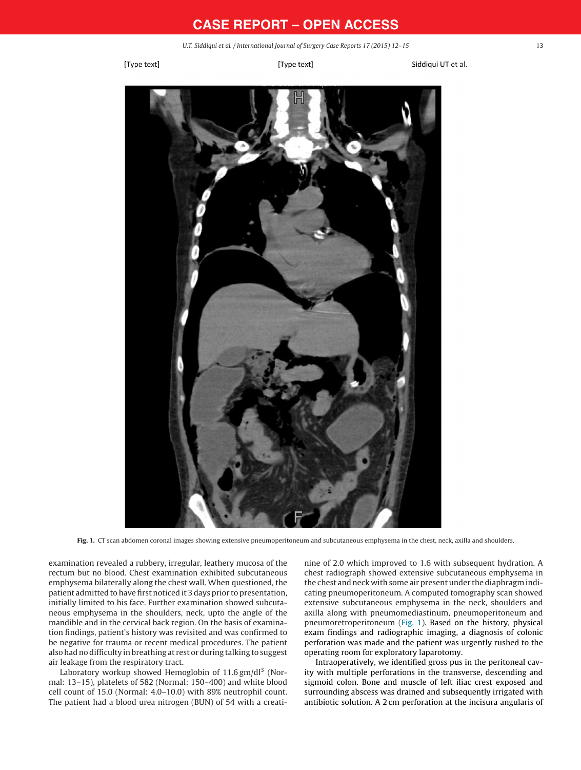U.T. Siddiqui et al. / International Journal of Surgery Case Reports 17 (2015) 12–15 13

[Type text]

[Type text]

Siddigui UT et al.

<span id="page-2-0"></span>

**Fig. 1.** CT scan abdomen coronal images showing extensive pneumoperitoneum and subcutaneous emphysema in the chest, neck, axilla and shoulders.

examination revealed a rubbery, irregular, leathery mucosa of the rectum but no blood. Chest examination exhibited subcutaneous emphysema bilaterally along the chest wall. When questioned, the patient admitted to have first noticed it 3 days prior to presentation, initially limited to his face. Further examination showed subcutaneous emphysema in the shoulders, neck, upto the angle of the mandible and in the cervical back region. On the basis of examination findings, patient's history was revisited and was confirmed to be negative for trauma or recent medical procedures. The patient also had no difficulty in breathing at rest or during talking to suggest air leakage from the respiratory tract.

Laboratory workup showed Hemoglobin of 11.6 gm/dl<sup>3</sup> (Normal: 13–15), platelets of 582 (Normal: 150–400) and white blood cell count of 15.0 (Normal: 4.0–10.0) with 89% neutrophil count. The patient had a blood urea nitrogen (BUN) of 54 with a creatinine of 2.0 which improved to 1.6 with subsequent hydration. A chest radiograph showed extensive subcutaneous emphysema in the chest and neck with some air present under the diaphragm indicating pneumoperitoneum. A computed tomography scan showed extensive subcutaneous emphysema in the neck, shoulders and axilla along with pneumomediastinum, pneumoperitoneum and pneumoretroperitoneum (Fig. 1). Based on the history, physical exam findings and radiographic imaging, a diagnosis of colonic perforation was made and the patient was urgently rushed to the operating room for exploratory laparotomy.

Intraoperatively, we identified gross pus in the peritoneal cavity with multiple perforations in the transverse, descending and sigmoid colon. Bone and muscle of left iliac crest exposed and surrounding abscess was drained and subsequently irrigated with antibiotic solution. A 2 cm perforation at the incisura angularis of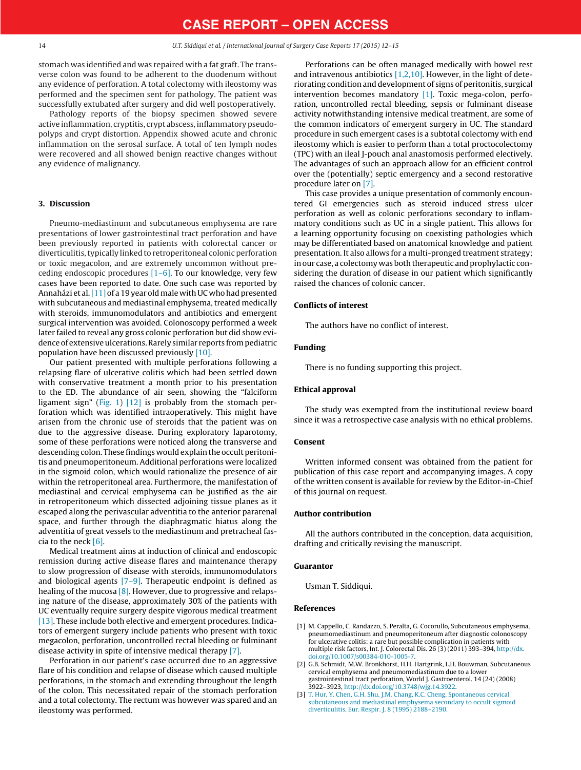<span id="page-3-0"></span>stomach was identified and was repaired with a fat graft. The transverse colon was found to be adherent to the duodenum without any evidence of perforation. A total colectomy with ileostomy was performed and the specimen sent for pathology. The patient was successfully extubated after surgery and did well postoperatively.

Pathology reports of the biopsy specimen showed severe active inflammation, cryptitis, crypt abscess, inflammatory pseudopolyps and crypt distortion. Appendix showed acute and chronic inflammation on the serosal surface. A total of ten lymph nodes were recovered and all showed benign reactive changes without any evidence of malignancy.

#### **3. Discussion**

Pneumo-mediastinum and subcutaneous emphysema are rare presentations of lower gastrointestinal tract perforation and have been previously reported in patients with colorectal cancer or diverticulitis, typically linked to retroperitoneal colonic perforation or toxic megacolon, and are extremely uncommon without preceding endoscopic procedures  $[1-6]$ . To our knowledge, very few cases have been reported to date. One such case was reported by Annaházi et al.  $[11]$  of a 19 year old male with UC who had presented with subcutaneous and mediastinal emphysema, treated medically with steroids, immunomodulators and antibiotics and emergent surgical intervention was avoided. Colonoscopy performed a week later failed to reveal any gross colonic perforation but did show evidence of extensive ulcerations. Rarely similar reports from pediatric population have been discussed previously [\[10\].](#page-4-0)

Our patient presented with multiple perforations following a relapsing flare of ulcerative colitis which had been settled down with conservative treatment a month prior to his presentation to the ED. The abundance of air seen, showing the "falciform ligament sign" ([Fig.](#page-2-0) 1) [\[12\]](#page-4-0) is probably from the stomach perforation which was identified intraoperatively. This might have arisen from the chronic use of steroids that the patient was on due to the aggressive disease. During exploratory laparotomy, some of these perforations were noticed along the transverse and descending colon. These findings would explain the occult peritonitis and pneumoperitoneum. Additional perforations were localized in the sigmoid colon, which would rationalize the presence of air within the retroperitoneal area. Furthermore, the manifestation of mediastinal and cervical emphysema can be justified as the air in retroperitoneum which dissected adjoining tissue planes as it escaped along the perivascular adventitia to the anterior pararenal space, and further through the diaphragmatic hiatus along the adventitia of great vessels to the mediastinum and pretracheal fascia to the neck [\[6\].](#page-4-0)

Medical treatment aims at induction of clinical and endoscopic remission during active disease flares and maintenance therapy to slow progression of disease with steroids, immunomodulators and biological agents  $[7-9]$ . Therapeutic endpoint is defined as healing of the mucosa  $[8]$ . However, due to progressive and relapsing nature of the disease, approximately 30% of the patients with UC eventually require surgery despite vigorous medical treatment [\[13\].](#page-4-0) These include both elective and emergent procedures. Indicators of emergent surgery include patients who present with toxic megacolon, perforation, uncontrolled rectal bleeding or fulminant disease activity in spite of intensive medical therapy [\[7\].](#page-4-0)

Perforation in our patient's case occurred due to an aggressive flare of his condition and relapse of disease which caused multiple perforations, in the stomach and extending throughout the length of the colon. This necessitated repair of the stomach perforation and a total colectomy. The rectum was however was spared and an ileostomy was performed.

Perforations can be often managed medically with bowel rest and intravenous antibiotics  $[1,2,10]$ . However, in the light of deteriorating condition and development of signs of peritonitis, surgical intervention becomes mandatory [1]. Toxic mega-colon, perforation, uncontrolled rectal bleeding, sepsis or fulminant disease activity notwithstanding intensive medical treatment, are some of the common indicators of emergent surgery in UC. The standard procedure in such emergent cases is a subtotal colectomy with end ileostomy which is easier to perform than a total proctocolectomy (TPC) with an ileal J-pouch anal anastomosis performed electively. The advantages of such an approach allow for an efficient control over the (potentially) septic emergency and a second restorative procedure later on [\[7\].](#page-4-0)

This case provides a unique presentation of commonly encountered GI emergencies such as steroid induced stress ulcer perforation as well as colonic perforations secondary to inflammatory conditions such as UC in a single patient. This allows for a learning opportunity focusing on coexisting pathologies which may be differentiated based on anatomical knowledge and patient presentation. It also allows for a multi-pronged treatment strategy; in our case, a colectomy was both therapeutic and prophylactic considering the duration of disease in our patient which significantly raised the chances of colonic cancer.

#### **Conflicts of interest**

The authors have no conflict of interest.

#### **Funding**

There is no funding supporting this project.

### **Ethical approval**

The study was exempted from the institutional review board since it was a retrospective case analysis with no ethical problems.

#### **Consent**

Written informed consent was obtained from the patient for publication of this case report and accompanying images. A copy of the written consent is available for review by the Editor-in-Chief of this journal on request.

#### **Author contribution**

All the authors contributed in the conception, data acquisition, drafting and critically revising the manuscript.

#### **Guarantor**

Usman T. Siddiqui.

### **References**

- [1] M. Cappello, C. Randazzo, S. Peralta, G. Cocorullo, Subcutaneous emphysema, pneumomediastinum and pneumoperitoneum after diagnostic colonoscopy for ulcerative colitis: a rare but possible complication in patients with multiple risk factors, Int. J. Colorectal Dis. 26 (3) (2011) 393–394, [http://dx.](dx.doi.org/10.1007/s00384-010-1005-7) doi.org/10.1007/s00384-010-1005-
- [2] G.B. Schmidt, M.W. Bronkhorst, H.H. Hartgrink, L.H. Bouwman, Subcutaneous cervical emphysema and pneumomediastinum due to a lower gastrointestinal tract perforation, World J. Gastroenterol. 14 (24) (2008) 3922–3923, [http://dx.doi.org/10.3748/wjg.14.3922](dx.doi.org/10.3748/wjg.14.3922).
- [3] [T.](http://refhub.elsevier.com/S2210-2612(15)00430-7/sbref0015) [Hur,](http://refhub.elsevier.com/S2210-2612(15)00430-7/sbref0015) [Y.](http://refhub.elsevier.com/S2210-2612(15)00430-7/sbref0015) [Chen,](http://refhub.elsevier.com/S2210-2612(15)00430-7/sbref0015) [G.H.](http://refhub.elsevier.com/S2210-2612(15)00430-7/sbref0015) [Shu,](http://refhub.elsevier.com/S2210-2612(15)00430-7/sbref0015) [J.M.](http://refhub.elsevier.com/S2210-2612(15)00430-7/sbref0015) [Chang,](http://refhub.elsevier.com/S2210-2612(15)00430-7/sbref0015) [K.C.](http://refhub.elsevier.com/S2210-2612(15)00430-7/sbref0015) [Cheng,](http://refhub.elsevier.com/S2210-2612(15)00430-7/sbref0015) [Spontaneous](http://refhub.elsevier.com/S2210-2612(15)00430-7/sbref0015) [cervical](http://refhub.elsevier.com/S2210-2612(15)00430-7/sbref0015) [subcutaneous](http://refhub.elsevier.com/S2210-2612(15)00430-7/sbref0015) [and](http://refhub.elsevier.com/S2210-2612(15)00430-7/sbref0015) [mediastinal](http://refhub.elsevier.com/S2210-2612(15)00430-7/sbref0015) [emphysema](http://refhub.elsevier.com/S2210-2612(15)00430-7/sbref0015) [secondary](http://refhub.elsevier.com/S2210-2612(15)00430-7/sbref0015) [to](http://refhub.elsevier.com/S2210-2612(15)00430-7/sbref0015) [occult](http://refhub.elsevier.com/S2210-2612(15)00430-7/sbref0015) [sigmoid](http://refhub.elsevier.com/S2210-2612(15)00430-7/sbref0015) [diverticulitis,](http://refhub.elsevier.com/S2210-2612(15)00430-7/sbref0015) [Eur.](http://refhub.elsevier.com/S2210-2612(15)00430-7/sbref0015) [Respir.](http://refhub.elsevier.com/S2210-2612(15)00430-7/sbref0015) [J.](http://refhub.elsevier.com/S2210-2612(15)00430-7/sbref0015) [8](http://refhub.elsevier.com/S2210-2612(15)00430-7/sbref0015) [\(1995\)](http://refhub.elsevier.com/S2210-2612(15)00430-7/sbref0015) [2188–2190.](http://refhub.elsevier.com/S2210-2612(15)00430-7/sbref0015)